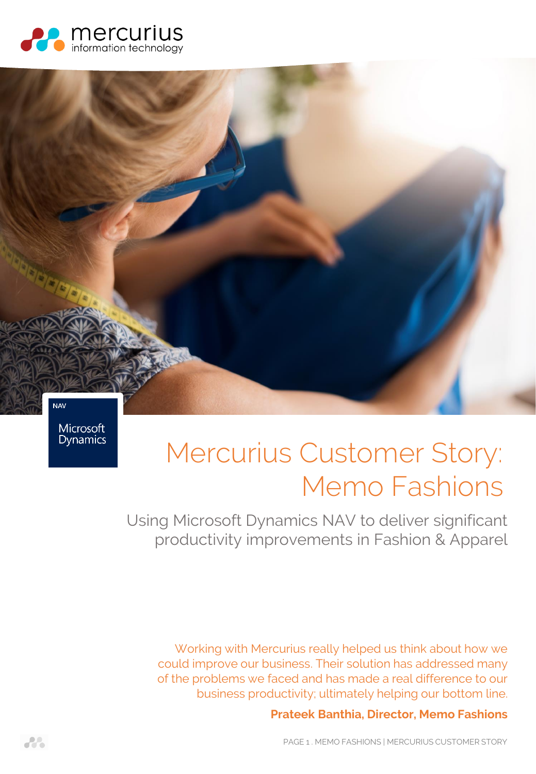



Microsoft **Dynamics** 

# Mercurius Customer Story: Memo Fashions

Using Microsoft Dynamics NAV to deliver significant productivity improvements in Fashion & Apparel

Working with Mercurius really helped us think about how we could improve our business. Their solution has addressed many of the problems we faced and has made a real difference to our business productivity; ultimately helping our bottom line.

### **Prateek Banthia, Director, Memo Fashions**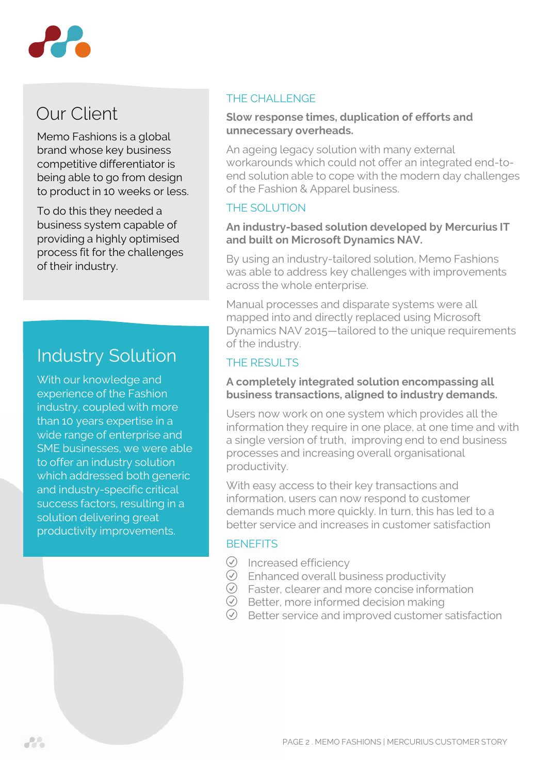

# Our Client

Memo Fashions is a global brand whose key business competitive differentiator is being able to go from design to product in 10 weeks or less.

To do this they needed a business system capable of providing a highly optimised process fit for the challenges of their industry.

# Industry Solution

With our knowledge and experience of the Fashion industry, coupled with more than 10 years expertise in a wide range of enterprise and SME businesses, we were able to offer an industry solution which addressed both generic and industry-specific critical success factors, resulting in a solution delivering great productivity improvements.

#### THE CHALL ENGE

#### **Slow response times, duplication of efforts and unnecessary overheads.**

An ageing legacy solution with many external workarounds which could not offer an integrated end-toend solution able to cope with the modern day challenges of the Fashion & Apparel business.

## THE SOLUTION

#### **An industry-based solution developed by Mercurius IT and built on Microsoft Dynamics NAV.**

By using an industry-tailored solution, Memo Fashions was able to address key challenges with improvements across the whole enterprise.

Manual processes and disparate systems were all mapped into and directly replaced using Microsoft Dynamics NAV 2015—tailored to the unique requirements of the industry.

# THE RESULTS

#### **A completely integrated solution encompassing all business transactions, aligned to industry demands.**

Users now work on one system which provides all the information they require in one place, at one time and with a single version of truth, improving end to end business processes and increasing overall organisational productivity.

With easy access to their key transactions and information, users can now respond to customer demands much more quickly. In turn, this has led to a better service and increases in customer satisfaction

### **BENEFITS**

- $\oslash$  Increased efficiency
- $\odot$  Enhanced overall business productivity
- $\odot$  Faster, clearer and more concise information
- $\odot$  Better, more informed decision making
- $\oslash$  Better service and improved customer satisfaction